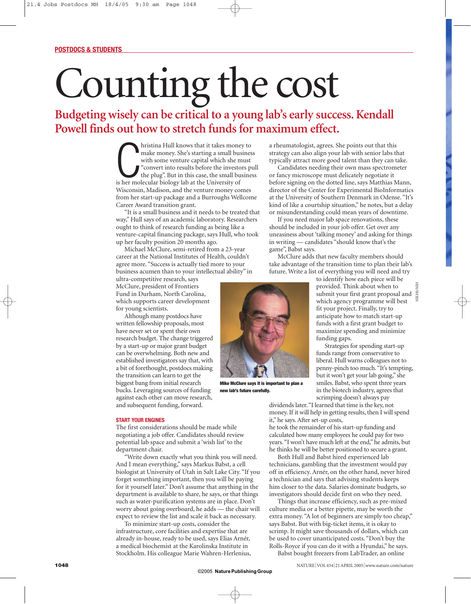## Counting the cost

## **Budgeting wisely can be critical to a young lab's early success. Kendall Powell finds out how to stretch funds for maximum effect.**

hristina Hull knows that it takes mone make money. She's starting a small bu with some venture capital which she n<br>
"convert into results before the investor the plug". But in this case, the small bu<br>
is her molecular biol hristina Hull knows that it takes money to make money. She's starting a small business with some venture capital which she must "convert into results before the investors pull the plug". But in this case, the small business Wisconsin, Madison, and the venture money comes from her start-up package and a Burroughs Wellcome Career Award transition grant.

"It is a small business and it needs to be treated that way," Hull says of an academic laboratory. Researchers ought to think of research funding as being like a venture-capital financing package, says Hull, who took up her faculty position 20 months ago.

Michael McClure, semi-retired from a 23-year career at the National Institutes of Health, couldn't agree more. "Success is actually tied more to your business acumen than to your intellectual ability" in

ultra-competitive research, says McClure, president of Frontiers Fund in Durham, North Carolina, which supports career development for young scientists.

Although many postdocs have written fellowship proposals, most have never set or spent their own research budget. The change triggered by a start-up or major grant budget can be overwhelming. Both new and established investigators say that, with a bit of forethought, postdocs making the transition can learn to get the biggest bang from initial research bucks. Leveraging sources of funding against each other can move research, and subsequent funding, forward.

## **START YOUR ENGINES**

The first considerations should be made while negotiating a job offer. Candidates should review potential lab space and submit a 'wish list' to the department chair.

"Write down exactly what you think you will need. And I mean everything," says Markus Babst, a cell biologist at University of Utah in Salt Lake City. "If you forget something important, then you will be paying for it yourself later." Don't assume that anything in the department is available to share, he says, or that things such as water-purification systems are in place. Don't worry about going overboard, he adds — the chair will expect to review the list and scale it back as necessary.

To minimize start-up costs, consider the infrastructure, core facilities and expertise that are already in-house, ready to be used, says Elias Arnér, a medical biochemist at the Karolinska Institute in Stockholm. His colleague Marie Wahren-Herlenius, a rheumatologist, agrees. She points out that this strategy can also align your lab with senior labs that typically attract more good talent than they can take.

Candidates needing their own mass spectrometer or fancy microscope must delicately negotiate it before signing on the dotted line, says Matthias Mann, director of the Center for Experimental BioInformatics at the University of Southern Denmark in Odense. "It's kind of like a courtship situation," he notes, but a delay or misunderstanding could mean years of downtime.

If you need major lab space renovations, these should be included in your job offer. Get over any uneasiness about 'talking money' and asking for things in writing — candidates "should know that's the game", Babst says.

McClure adds that new faculty members should take advantage of the transition time to plan their lab's future. Write a list of everything you will need and try



**Mike McClure says it is important to plan a new lab's future carefully.**

to identify how each piece will be provided. Think about when to submit your first grant proposal and<br>which agency programme will best which agency programme will best fit your project. Finally, try to anticipate how to match start-up funds with a first grant budget to maximize spending and minimize funding gaps.

Strategies for spending start-up funds range from conservative to liberal. Hull warns colleagues not to penny-pinch too much."It's tempting, but it won't get your lab going," she smiles. Babst, who spent three years in the biotech industry, agrees that scrimping doesn't always pay

dividends later."I learned that time is the key, not money. If it will help in getting results, then I will spend it," he says. After set-up costs,

he took the remainder of his start-up funding and calculated how many employees he could pay for two years."I won't have much left at the end," he admits, but he thinks he will be better positioned to secure a grant.

Both Hull and Babst hired experienced lab technicians, gambling that the investment would pay off in efficiency. Arnér, on the other hand, never hired a technician and says that advising students keeps him closer to the data. Salaries dominate budgets, so investigators should decide first on who they need.

Things that increase efficiency, such as pre-mixed culture media or a better pipette, may be worth the extra money. "A lot of beginners are simply too cheap," says Babst. But with big-ticket items, it is okay to scrimp. It might save thousands of dollars, which can be used to cover unanticipated costs. "Don't buy the Rolls-Royce if you can do it with a Hyundai," he says.

Babst bought freezers from LabTrader, an online

NIEHS/NIH